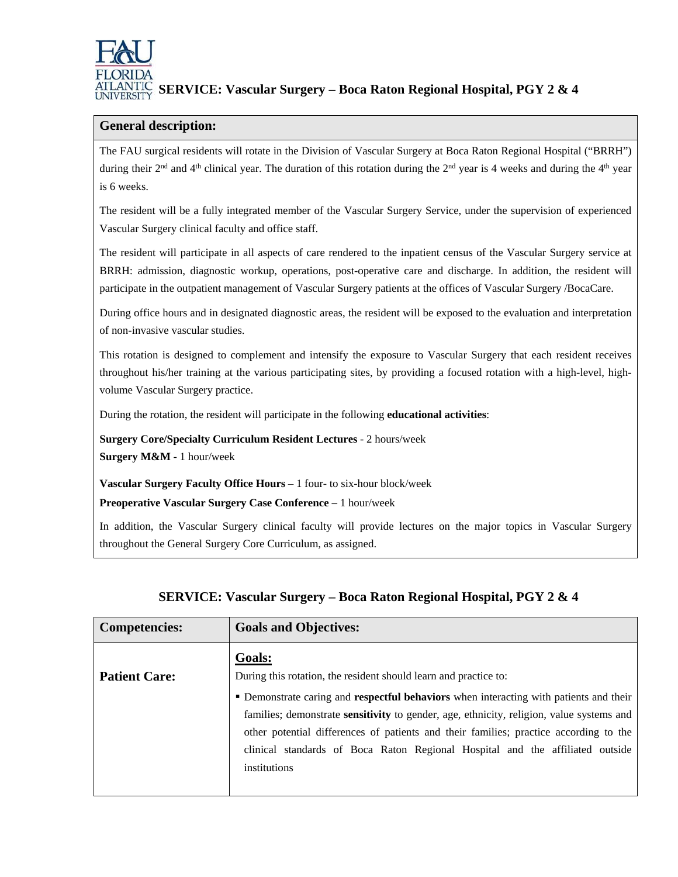

## **SERVICE: Vascular Surgery – Boca Raton Regional Hospital, PGY 2 & 4**

#### **General description:**

The FAU surgical residents will rotate in the Division of Vascular Surgery at Boca Raton Regional Hospital ("BRRH") during their  $2<sup>nd</sup>$  and  $4<sup>th</sup>$  clinical year. The duration of this rotation during the  $2<sup>nd</sup>$  year is 4 weeks and during the  $4<sup>th</sup>$  year is 6 weeks.

The resident will be a fully integrated member of the Vascular Surgery Service, under the supervision of experienced Vascular Surgery clinical faculty and office staff.

The resident will participate in all aspects of care rendered to the inpatient census of the Vascular Surgery service at BRRH: admission, diagnostic workup, operations, post-operative care and discharge. In addition, the resident will participate in the outpatient management of Vascular Surgery patients at the offices of Vascular Surgery /BocaCare.

During office hours and in designated diagnostic areas, the resident will be exposed to the evaluation and interpretation of non-invasive vascular studies.

This rotation is designed to complement and intensify the exposure to Vascular Surgery that each resident receives throughout his/her training at the various participating sites, by providing a focused rotation with a high-level, highvolume Vascular Surgery practice.

During the rotation, the resident will participate in the following **educational activities**:

**Surgery Core/Specialty Curriculum Resident Lectures** - 2 hours/week **Surgery M&M** - 1 hour/week

**Vascular Surgery Faculty Office Hours** – 1 four- to six-hour block/week

**Preoperative Vascular Surgery Case Conference** – 1 hour/week

In addition, the Vascular Surgery clinical faculty will provide lectures on the major topics in Vascular Surgery throughout the General Surgery Core Curriculum, as assigned.

| <b>Competencies:</b> | <b>Goals and Objectives:</b>                                                                                                                                                                                                                                                                                                                                                                                                                                      |
|----------------------|-------------------------------------------------------------------------------------------------------------------------------------------------------------------------------------------------------------------------------------------------------------------------------------------------------------------------------------------------------------------------------------------------------------------------------------------------------------------|
| <b>Patient Care:</b> | Goals:<br>During this rotation, the resident should learn and practice to:<br>• Demonstrate caring and <b>respectful behaviors</b> when interacting with patients and their<br>families; demonstrate sensitivity to gender, age, ethnicity, religion, value systems and<br>other potential differences of patients and their families; practice according to the<br>clinical standards of Boca Raton Regional Hospital and the affiliated outside<br>institutions |
|                      |                                                                                                                                                                                                                                                                                                                                                                                                                                                                   |

## **SERVICE: Vascular Surgery – Boca Raton Regional Hospital, PGY 2 & 4**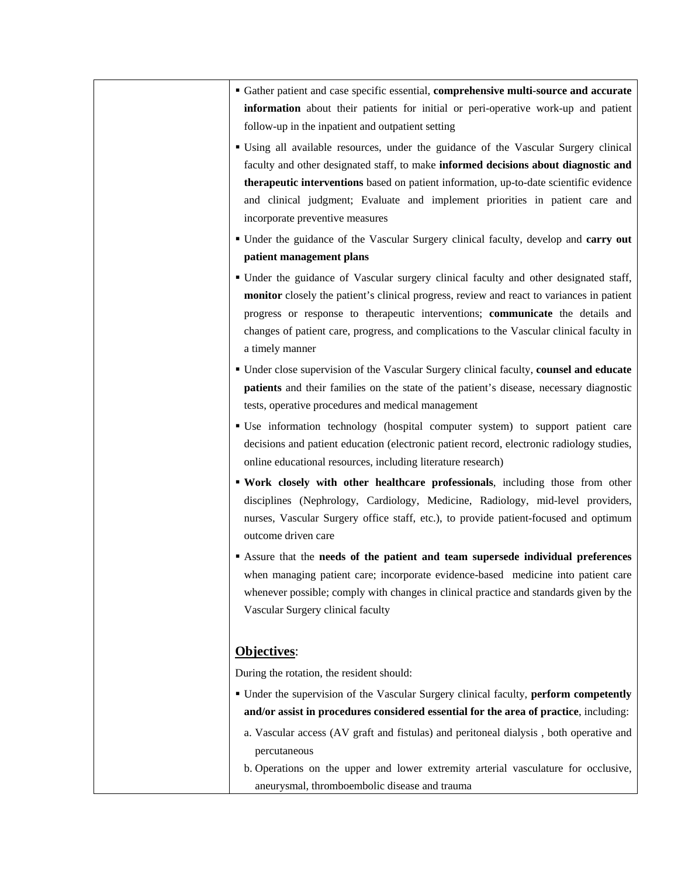- Gather patient and case specific essential, **comprehensive multi-source and accurate information** about their patients for initial or peri-operative work-up and patient follow-up in the inpatient and outpatient setting
- Using all available resources, under the guidance of the Vascular Surgery clinical faculty and other designated staff, to make **informed decisions about diagnostic and therapeutic interventions** based on patient information, up-to-date scientific evidence and clinical judgment; Evaluate and implement priorities in patient care and incorporate preventive measures
- Under the guidance of the Vascular Surgery clinical faculty, develop and **carry out patient management plans**
- Under the guidance of Vascular surgery clinical faculty and other designated staff, **monitor** closely the patient's clinical progress, review and react to variances in patient progress or response to therapeutic interventions; **communicate** the details and changes of patient care, progress, and complications to the Vascular clinical faculty in a timely manner
- Under close supervision of the Vascular Surgery clinical faculty, **counsel and educate patients** and their families on the state of the patient's disease, necessary diagnostic tests, operative procedures and medical management
- Use information technology (hospital computer system) to support patient care decisions and patient education (electronic patient record, electronic radiology studies, online educational resources, including literature research)
- **Work closely with other healthcare professionals**, including those from other disciplines (Nephrology, Cardiology, Medicine, Radiology, mid-level providers, nurses, Vascular Surgery office staff, etc.), to provide patient-focused and optimum outcome driven care
- Assure that the **needs of the patient and team supersede individual preferences** when managing patient care; incorporate evidence-based medicine into patient care whenever possible; comply with changes in clinical practice and standards given by the Vascular Surgery clinical faculty

#### **Objectives**:

During the rotation, the resident should:

- Under the supervision of the Vascular Surgery clinical faculty, **perform competently and/or assist in procedures considered essential for the area of practice**, including:
	- a. Vascular access (AV graft and fistulas) and peritoneal dialysis , both operative and percutaneous
	- b. Operations on the upper and lower extremity arterial vasculature for occlusive, aneurysmal, thromboembolic disease and trauma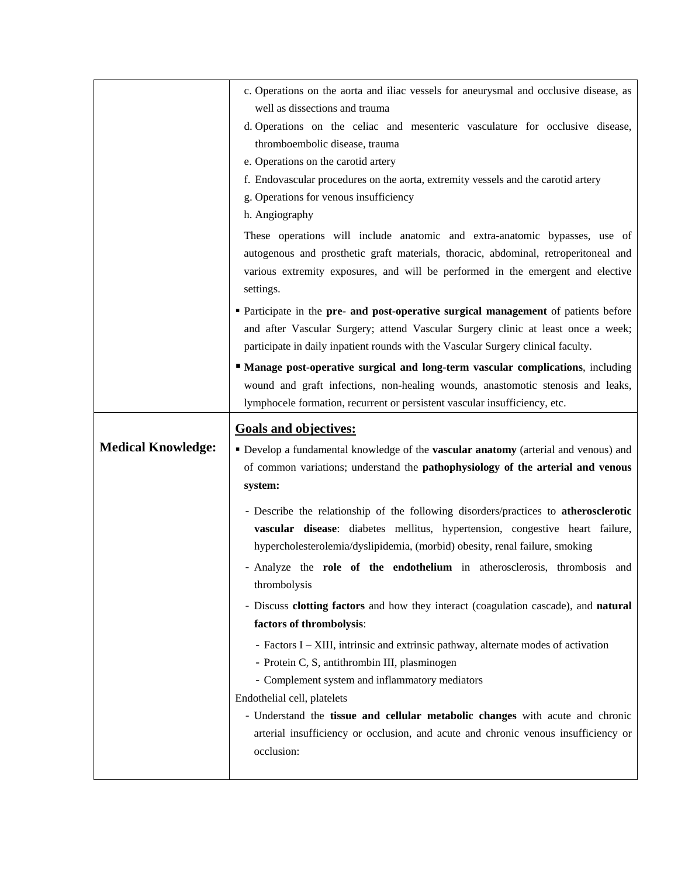|                           | c. Operations on the aorta and iliac vessels for aneurysmal and occlusive disease, as                           |
|---------------------------|-----------------------------------------------------------------------------------------------------------------|
|                           | well as dissections and trauma                                                                                  |
|                           | d. Operations on the celiac and mesenteric vasculature for occlusive disease,<br>thromboembolic disease, trauma |
|                           | e. Operations on the carotid artery                                                                             |
|                           | f. Endovascular procedures on the aorta, extremity vessels and the carotid artery                               |
|                           | g. Operations for venous insufficiency                                                                          |
|                           | h. Angiography                                                                                                  |
|                           | These operations will include anatomic and extra-anatomic bypasses, use of                                      |
|                           | autogenous and prosthetic graft materials, thoracic, abdominal, retroperitoneal and                             |
|                           | various extremity exposures, and will be performed in the emergent and elective<br>settings.                    |
|                           | • Participate in the pre- and post-operative surgical management of patients before                             |
|                           | and after Vascular Surgery; attend Vascular Surgery clinic at least once a week;                                |
|                           | participate in daily inpatient rounds with the Vascular Surgery clinical faculty.                               |
|                           | " Manage post-operative surgical and long-term vascular complications, including                                |
|                           | wound and graft infections, non-healing wounds, anastomotic stenosis and leaks,                                 |
|                           | lymphocele formation, recurrent or persistent vascular insufficiency, etc.                                      |
|                           | <b>Goals and objectives:</b>                                                                                    |
| <b>Medical Knowledge:</b> | Develop a fundamental knowledge of the vascular anatomy (arterial and venous) and                               |
|                           |                                                                                                                 |
|                           | of common variations; understand the pathophysiology of the arterial and venous                                 |
|                           | system:                                                                                                         |
|                           | - Describe the relationship of the following disorders/practices to atherosclerotic                             |
|                           | vascular disease: diabetes mellitus, hypertension, congestive heart failure,                                    |
|                           | hypercholesterolemia/dyslipidemia, (morbid) obesity, renal failure, smoking                                     |
|                           | - Analyze the role of the endothelium in atherosclerosis, thrombosis and                                        |
|                           | thrombolysis                                                                                                    |
|                           | - Discuss clotting factors and how they interact (coagulation cascade), and natural                             |
|                           | factors of thrombolysis:                                                                                        |
|                           | - Factors I - XIII, intrinsic and extrinsic pathway, alternate modes of activation                              |
|                           | - Protein C, S, antithrombin III, plasminogen                                                                   |
|                           | - Complement system and inflammatory mediators                                                                  |
|                           | Endothelial cell, platelets<br>- Understand the tissue and cellular metabolic changes with acute and chronic    |
|                           | arterial insufficiency or occlusion, and acute and chronic venous insufficiency or                              |
|                           | occlusion:                                                                                                      |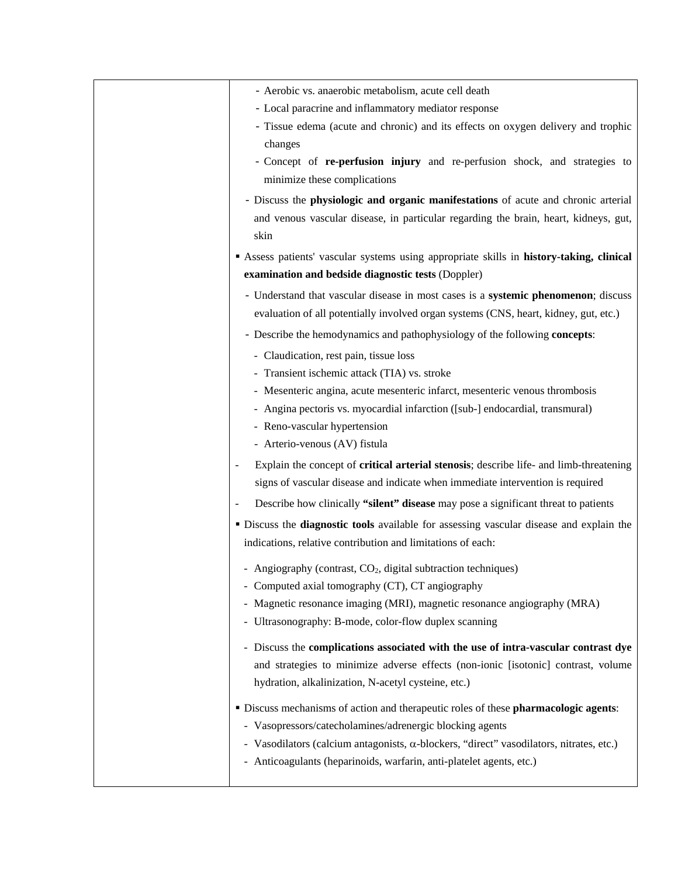| - Aerobic vs. anaerobic metabolism, acute cell death                                                                                                                                                 |
|------------------------------------------------------------------------------------------------------------------------------------------------------------------------------------------------------|
| - Local paracrine and inflammatory mediator response                                                                                                                                                 |
| - Tissue edema (acute and chronic) and its effects on oxygen delivery and trophic<br>changes                                                                                                         |
| - Concept of re-perfusion injury and re-perfusion shock, and strategies to<br>minimize these complications                                                                                           |
| - Discuss the physiologic and organic manifestations of acute and chronic arterial<br>and venous vascular disease, in particular regarding the brain, heart, kidneys, gut,<br>skin                   |
| Assess patients' vascular systems using appropriate skills in history-taking, clinical                                                                                                               |
| examination and bedside diagnostic tests (Doppler)                                                                                                                                                   |
| - Understand that vascular disease in most cases is a systemic phenomenon; discuss<br>evaluation of all potentially involved organ systems (CNS, heart, kidney, gut, etc.)                           |
| - Describe the hemodynamics and pathophysiology of the following <b>concepts</b> :                                                                                                                   |
| - Claudication, rest pain, tissue loss                                                                                                                                                               |
| - Transient ischemic attack (TIA) vs. stroke                                                                                                                                                         |
| - Mesenteric angina, acute mesenteric infarct, mesenteric venous thrombosis                                                                                                                          |
| - Angina pectoris vs. myocardial infarction ([sub-] endocardial, transmural)<br>- Reno-vascular hypertension                                                                                         |
| - Arterio-venous (AV) fistula                                                                                                                                                                        |
|                                                                                                                                                                                                      |
| Explain the concept of critical arterial stenosis; describe life- and limb-threatening<br>$\overline{\phantom{a}}$<br>signs of vascular disease and indicate when immediate intervention is required |
| Describe how clinically "silent" disease may pose a significant threat to patients                                                                                                                   |
| · Discuss the diagnostic tools available for assessing vascular disease and explain the<br>indications, relative contribution and limitations of each:                                               |
| - Angiography (contrast, $CO2$ , digital subtraction techniques)                                                                                                                                     |
| - Computed axial tomography (CT), CT angiography                                                                                                                                                     |
| Magnetic resonance imaging (MRI), magnetic resonance angiography (MRA)                                                                                                                               |
| - Ultrasonography: B-mode, color-flow duplex scanning                                                                                                                                                |
| - Discuss the complications associated with the use of intra-vascular contrast dye                                                                                                                   |
| and strategies to minimize adverse effects (non-ionic [isotonic] contrast, volume                                                                                                                    |
| hydration, alkalinization, N-acetyl cysteine, etc.)                                                                                                                                                  |
| · Discuss mechanisms of action and therapeutic roles of these pharmacologic agents:                                                                                                                  |
| - Vasopressors/catecholamines/adrenergic blocking agents                                                                                                                                             |
| - Vasodilators (calcium antagonists, $\alpha$ -blockers, "direct" vasodilators, nitrates, etc.)                                                                                                      |
| - Anticoagulants (heparinoids, warfarin, anti-platelet agents, etc.)                                                                                                                                 |
|                                                                                                                                                                                                      |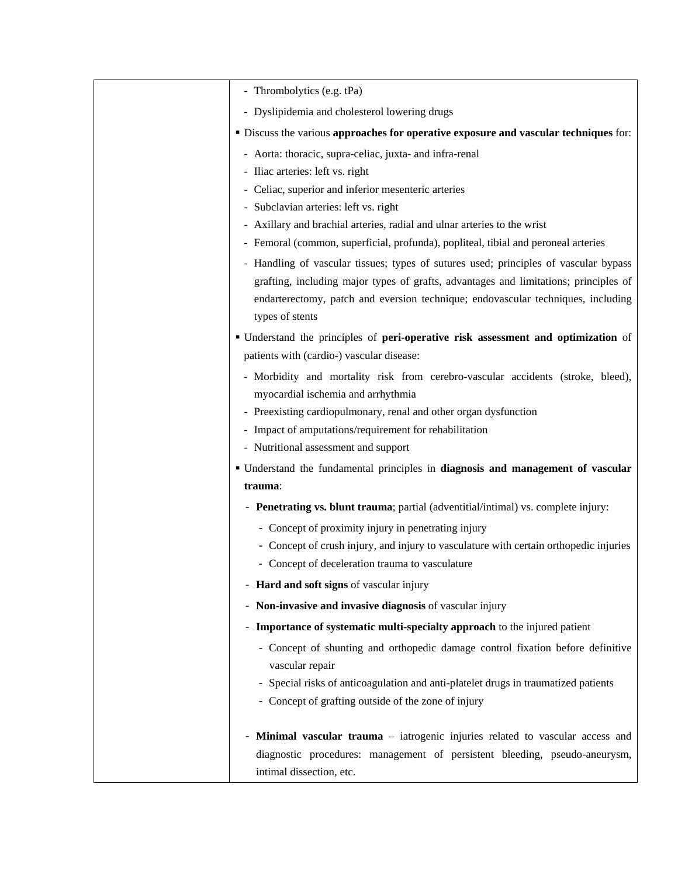| <b>• Discuss the various approaches for operative exposure and vascular techniques for:</b>                                                                              |
|--------------------------------------------------------------------------------------------------------------------------------------------------------------------------|
|                                                                                                                                                                          |
|                                                                                                                                                                          |
|                                                                                                                                                                          |
|                                                                                                                                                                          |
|                                                                                                                                                                          |
|                                                                                                                                                                          |
| - Handling of vascular tissues; types of sutures used; principles of vascular bypass                                                                                     |
| grafting, including major types of grafts, advantages and limitations; principles of                                                                                     |
| endarterectomy, patch and eversion technique; endovascular techniques, including                                                                                         |
|                                                                                                                                                                          |
| " Understand the principles of peri-operative risk assessment and optimization of                                                                                        |
| - Morbidity and mortality risk from cerebro-vascular accidents (stroke, bleed),                                                                                          |
|                                                                                                                                                                          |
|                                                                                                                                                                          |
|                                                                                                                                                                          |
| • Understand the fundamental principles in diagnosis and management of vascular                                                                                          |
|                                                                                                                                                                          |
|                                                                                                                                                                          |
|                                                                                                                                                                          |
| - Concept of crush injury, and injury to vasculature with certain orthopedic injuries                                                                                    |
|                                                                                                                                                                          |
|                                                                                                                                                                          |
|                                                                                                                                                                          |
|                                                                                                                                                                          |
| - Concept of shunting and orthopedic damage control fixation before definitive                                                                                           |
|                                                                                                                                                                          |
| - Special risks of anticoagulation and anti-platelet drugs in traumatized patients                                                                                       |
|                                                                                                                                                                          |
| - Minimal vascular trauma – iatrogenic injuries related to vascular access and                                                                                           |
| diagnostic procedures: management of persistent bleeding, pseudo-aneurysm,                                                                                               |
|                                                                                                                                                                          |
| - Femoral (common, superficial, profunda), popliteal, tibial and peroneal arteries<br>- Penetrating vs. blunt trauma; partial (adventitial/intimal) vs. complete injury: |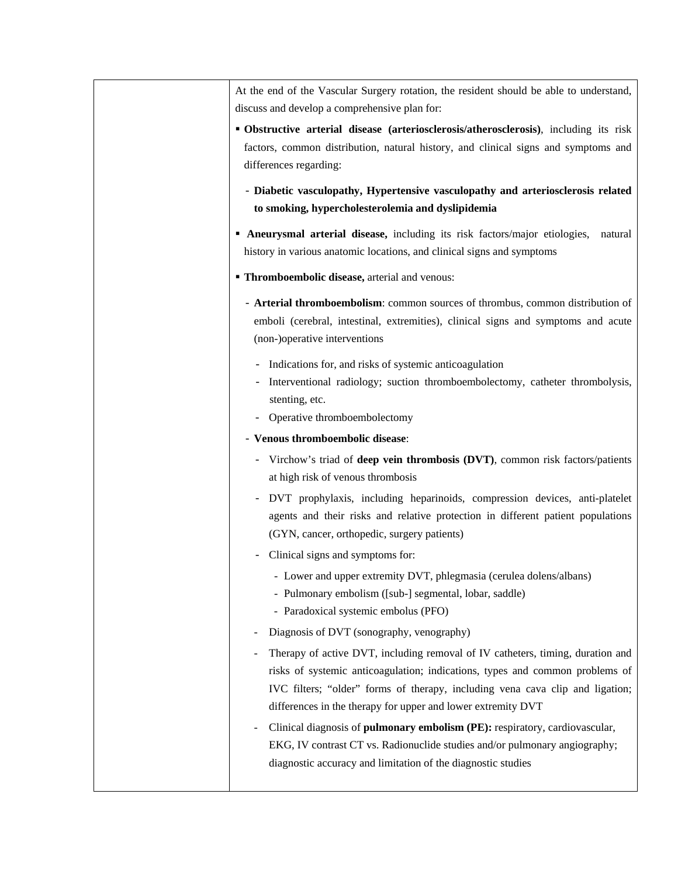At the end of the Vascular Surgery rotation, the resident should be able to understand, discuss and develop a comprehensive plan for:

- **Obstructive arterial disease (arteriosclerosis/atherosclerosis)**, including its risk factors, common distribution, natural history, and clinical signs and symptoms and differences regarding:
	- **Diabetic vasculopathy, Hypertensive vasculopathy and arteriosclerosis related to smoking, hypercholesterolemia and dyslipidemia**
- **Aneurysmal arterial disease,** including its risk factors/major etiologies, natural history in various anatomic locations, and clinical signs and symptoms
- **Thromboembolic disease, arterial and venous:** 
	- **Arterial thromboembolism**: common sources of thrombus, common distribution of emboli (cerebral, intestinal, extremities), clinical signs and symptoms and acute (non-)operative interventions
		- Indications for, and risks of systemic anticoagulation
		- Interventional radiology; suction thromboembolectomy, catheter thrombolysis, stenting, etc.
		- Operative thromboembolectomy
	- **Venous thromboembolic disease**:
		- Virchow's triad of **deep vein thrombosis (DVT)**, common risk factors/patients at high risk of venous thrombosis
		- DVT prophylaxis, including heparinoids, compression devices, anti-platelet agents and their risks and relative protection in different patient populations (GYN, cancer, orthopedic, surgery patients)
		- Clinical signs and symptoms for:
			- Lower and upper extremity DVT, phlegmasia (cerulea dolens/albans)
			- Pulmonary embolism ([sub-] segmental, lobar, saddle)
			- Paradoxical systemic embolus (PFO)
		- Diagnosis of DVT (sonography, venography)
		- Therapy of active DVT, including removal of IV catheters, timing, duration and risks of systemic anticoagulation; indications, types and common problems of IVC filters; "older" forms of therapy, including vena cava clip and ligation; differences in the therapy for upper and lower extremity DVT
	- Clinical diagnosis of **pulmonary embolism (PE):** respiratory, cardiovascular, EKG, IV contrast CT vs. Radionuclide studies and/or pulmonary angiography; diagnostic accuracy and limitation of the diagnostic studies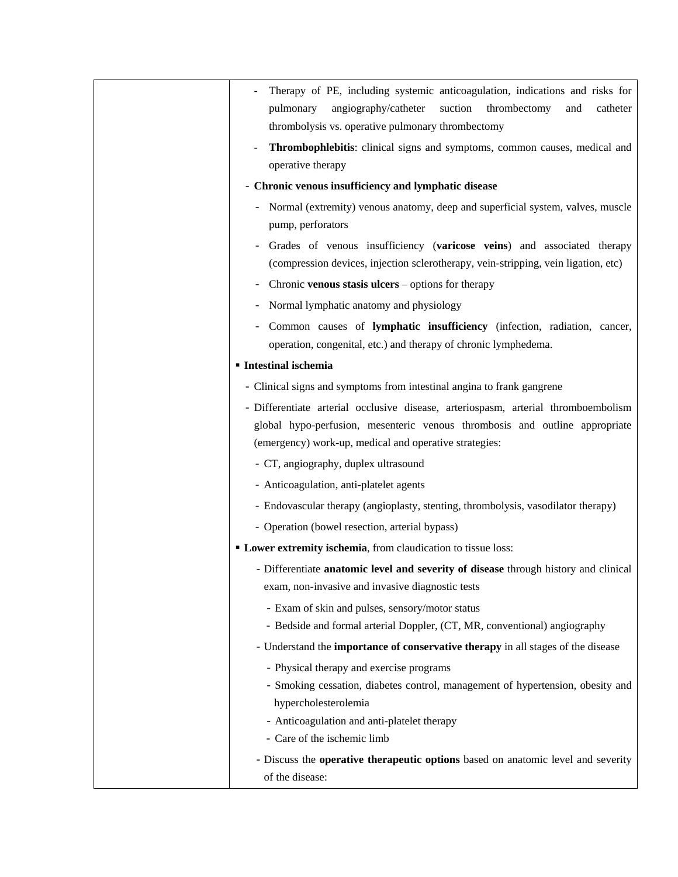| Therapy of PE, including systemic anticoagulation, indications and risks for        |
|-------------------------------------------------------------------------------------|
| angiography/catheter<br>suction<br>thrombectomy<br>catheter<br>pulmonary<br>and     |
| thrombolysis vs. operative pulmonary thrombectomy                                   |
| Thrombophlebitis: clinical signs and symptoms, common causes, medical and           |
| operative therapy                                                                   |
| - Chronic venous insufficiency and lymphatic disease                                |
| Normal (extremity) venous anatomy, deep and superficial system, valves, muscle      |
| pump, perforators                                                                   |
| Grades of venous insufficiency (varicose veins) and associated therapy              |
| (compression devices, injection sclerotherapy, vein-stripping, vein ligation, etc)  |
| Chronic venous stasis ulcers – options for therapy                                  |
| Normal lymphatic anatomy and physiology                                             |
| Common causes of lymphatic insufficiency (infection, radiation, cancer,             |
| operation, congenital, etc.) and therapy of chronic lymphedema.                     |
| <b>Intestinal ischemia</b>                                                          |
| - Clinical signs and symptoms from intestinal angina to frank gangrene              |
| - Differentiate arterial occlusive disease, arteriospasm, arterial thromboembolism  |
| global hypo-perfusion, mesenteric venous thrombosis and outline appropriate         |
| (emergency) work-up, medical and operative strategies:                              |
| - CT, angiography, duplex ultrasound                                                |
| - Anticoagulation, anti-platelet agents                                             |
| - Endovascular therapy (angioplasty, stenting, thrombolysis, vasodilator therapy)   |
| - Operation (bowel resection, arterial bypass)                                      |
| • Lower extremity ischemia, from claudication to tissue loss:                       |
| - Differentiate anatomic level and severity of disease through history and clinical |
| exam, non-invasive and invasive diagnostic tests                                    |
| - Exam of skin and pulses, sensory/motor status                                     |
| - Bedside and formal arterial Doppler, (CT, MR, conventional) angiography           |
| - Understand the importance of conservative therapy in all stages of the disease    |
| - Physical therapy and exercise programs                                            |
| - Smoking cessation, diabetes control, management of hypertension, obesity and      |
| hypercholesterolemia                                                                |
| - Anticoagulation and anti-platelet therapy                                         |
| - Care of the ischemic limb                                                         |
| - Discuss the operative therapeutic options based on anatomic level and severity    |
| of the disease:                                                                     |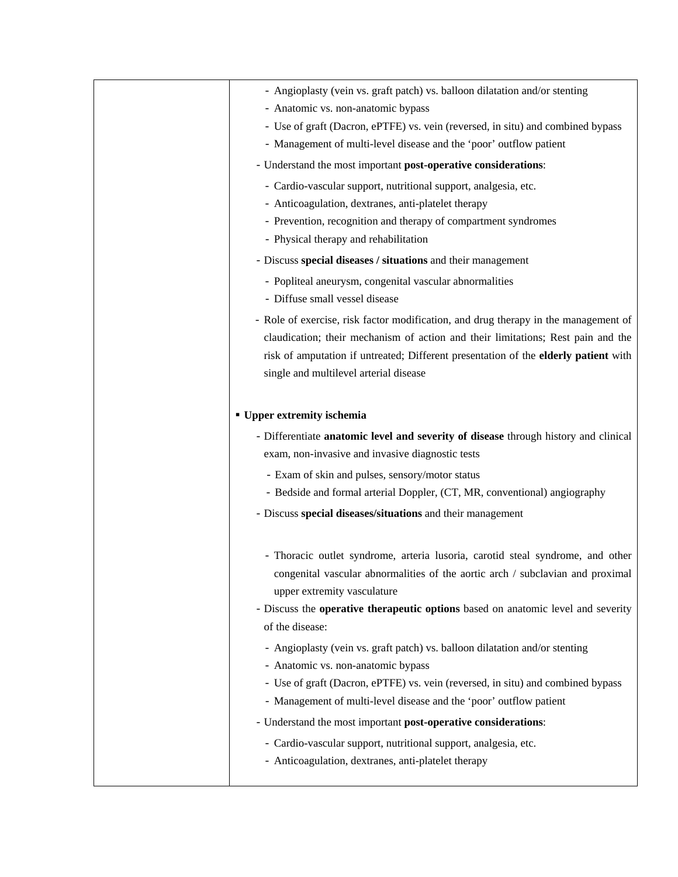| - Angioplasty (vein vs. graft patch) vs. balloon dilatation and/or stenting         |
|-------------------------------------------------------------------------------------|
| - Anatomic vs. non-anatomic bypass                                                  |
| - Use of graft (Dacron, ePTFE) vs. vein (reversed, in situ) and combined bypass     |
| - Management of multi-level disease and the 'poor' outflow patient                  |
| - Understand the most important post-operative considerations:                      |
| - Cardio-vascular support, nutritional support, analgesia, etc.                     |
| - Anticoagulation, dextranes, anti-platelet therapy                                 |
| - Prevention, recognition and therapy of compartment syndromes                      |
| - Physical therapy and rehabilitation                                               |
| - Discuss special diseases / situations and their management                        |
| - Popliteal aneurysm, congenital vascular abnormalities                             |
| - Diffuse small vessel disease                                                      |
| - Role of exercise, risk factor modification, and drug therapy in the management of |
| claudication; their mechanism of action and their limitations; Rest pain and the    |
| risk of amputation if untreated; Different presentation of the elderly patient with |
| single and multilevel arterial disease                                              |
|                                                                                     |
| <b>• Upper extremity ischemia</b>                                                   |
| - Differentiate anatomic level and severity of disease through history and clinical |
| exam, non-invasive and invasive diagnostic tests                                    |
| - Exam of skin and pulses, sensory/motor status                                     |
| - Bedside and formal arterial Doppler, (CT, MR, conventional) angiography           |
| - Discuss special diseases/situations and their management                          |
|                                                                                     |
| - Thoracic outlet syndrome, arteria lusoria, carotid steal syndrome, and other      |
| congenital vascular abnormalities of the aortic arch / subclavian and proximal      |
| upper extremity vasculature                                                         |
| - Discuss the operative therapeutic options based on anatomic level and severity    |
| of the disease:                                                                     |
| - Angioplasty (vein vs. graft patch) vs. balloon dilatation and/or stenting         |
| - Anatomic vs. non-anatomic bypass                                                  |
| - Use of graft (Dacron, ePTFE) vs. vein (reversed, in situ) and combined bypass     |
| - Management of multi-level disease and the 'poor' outflow patient                  |
|                                                                                     |
| - Understand the most important post-operative considerations:                      |
| - Cardio-vascular support, nutritional support, analgesia, etc.                     |
| - Anticoagulation, dextranes, anti-platelet therapy                                 |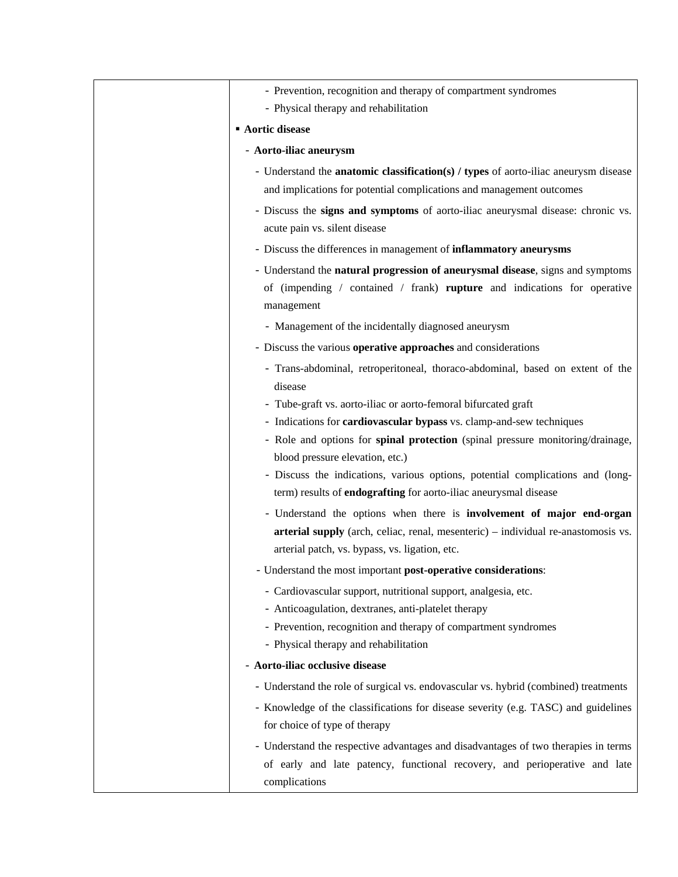| - Prevention, recognition and therapy of compartment syndromes                                                                      |
|-------------------------------------------------------------------------------------------------------------------------------------|
| - Physical therapy and rehabilitation                                                                                               |
| <b>Aortic disease</b>                                                                                                               |
| - Aorto-iliac aneurysm                                                                                                              |
| - Understand the <b>anatomic classification(s) / types</b> of aorto-iliac aneurysm disease                                          |
| and implications for potential complications and management outcomes                                                                |
| - Discuss the signs and symptoms of aorto-iliac aneurysmal disease: chronic vs.                                                     |
| acute pain vs. silent disease                                                                                                       |
| - Discuss the differences in management of inflammatory aneurysms                                                                   |
| - Understand the natural progression of aneurysmal disease, signs and symptoms                                                      |
| of (impending / contained / frank) rupture and indications for operative<br>management                                              |
| - Management of the incidentally diagnosed aneurysm                                                                                 |
| - Discuss the various operative approaches and considerations                                                                       |
| - Trans-abdominal, retroperitoneal, thoraco-abdominal, based on extent of the<br>disease                                            |
| - Tube-graft vs. aorto-iliac or aorto-femoral bifurcated graft                                                                      |
| - Indications for cardiovascular bypass vs. clamp-and-sew techniques                                                                |
| - Role and options for spinal protection (spinal pressure monitoring/drainage,                                                      |
| blood pressure elevation, etc.)                                                                                                     |
| - Discuss the indications, various options, potential complications and (long-                                                      |
| term) results of <b>endografting</b> for aorto-iliac aneurysmal disease                                                             |
| - Understand the options when there is involvement of major end-organ                                                               |
| arterial supply (arch, celiac, renal, mesenteric) – individual re-anastomosis vs.<br>arterial patch, vs. bypass, vs. ligation, etc. |
|                                                                                                                                     |
| - Understand the most important post-operative considerations:                                                                      |
| - Cardiovascular support, nutritional support, analgesia, etc.<br>- Anticoagulation, dextranes, anti-platelet therapy               |
| - Prevention, recognition and therapy of compartment syndromes                                                                      |
| - Physical therapy and rehabilitation                                                                                               |
| - Aorto-iliac occlusive disease                                                                                                     |
| - Understand the role of surgical vs. endovascular vs. hybrid (combined) treatments                                                 |
| - Knowledge of the classifications for disease severity (e.g. TASC) and guidelines                                                  |
| for choice of type of therapy                                                                                                       |
| - Understand the respective advantages and disadvantages of two therapies in terms                                                  |
| of early and late patency, functional recovery, and perioperative and late<br>complications                                         |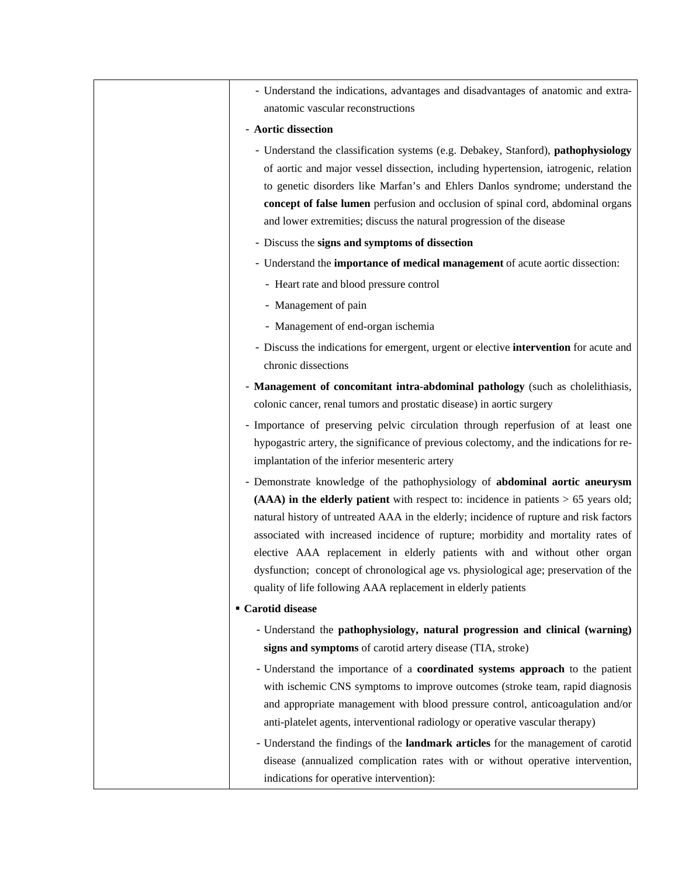| - Understand the indications, advantages and disadvantages of anatomic and extra-                                                                                                                                                                                                                                                                                                                                                                                                                                                                                                          |
|--------------------------------------------------------------------------------------------------------------------------------------------------------------------------------------------------------------------------------------------------------------------------------------------------------------------------------------------------------------------------------------------------------------------------------------------------------------------------------------------------------------------------------------------------------------------------------------------|
| anatomic vascular reconstructions                                                                                                                                                                                                                                                                                                                                                                                                                                                                                                                                                          |
| - Aortic dissection                                                                                                                                                                                                                                                                                                                                                                                                                                                                                                                                                                        |
| - Understand the classification systems (e.g. Debakey, Stanford), pathophysiology<br>of aortic and major vessel dissection, including hypertension, iatrogenic, relation<br>to genetic disorders like Marfan's and Ehlers Danlos syndrome; understand the<br>concept of false lumen perfusion and occlusion of spinal cord, abdominal organs<br>and lower extremities; discuss the natural progression of the disease                                                                                                                                                                      |
| - Discuss the signs and symptoms of dissection                                                                                                                                                                                                                                                                                                                                                                                                                                                                                                                                             |
| - Understand the importance of medical management of acute aortic dissection:                                                                                                                                                                                                                                                                                                                                                                                                                                                                                                              |
| - Heart rate and blood pressure control                                                                                                                                                                                                                                                                                                                                                                                                                                                                                                                                                    |
| - Management of pain                                                                                                                                                                                                                                                                                                                                                                                                                                                                                                                                                                       |
| - Management of end-organ ischemia                                                                                                                                                                                                                                                                                                                                                                                                                                                                                                                                                         |
| - Discuss the indications for emergent, urgent or elective intervention for acute and<br>chronic dissections                                                                                                                                                                                                                                                                                                                                                                                                                                                                               |
| - Management of concomitant intra-abdominal pathology (such as cholelithiasis,                                                                                                                                                                                                                                                                                                                                                                                                                                                                                                             |
| colonic cancer, renal tumors and prostatic disease) in aortic surgery                                                                                                                                                                                                                                                                                                                                                                                                                                                                                                                      |
| - Importance of preserving pelvic circulation through reperfusion of at least one<br>hypogastric artery, the significance of previous colectomy, and the indications for re-<br>implantation of the inferior mesenteric artery                                                                                                                                                                                                                                                                                                                                                             |
| - Demonstrate knowledge of the pathophysiology of abdominal aortic aneurysm<br>$(AAA)$ in the elderly patient with respect to: incidence in patients $> 65$ years old;<br>natural history of untreated AAA in the elderly; incidence of rupture and risk factors<br>associated with increased incidence of rupture; morbidity and mortality rates of<br>elective AAA replacement in elderly patients with and without other organ<br>dysfunction; concept of chronological age vs. physiological age; preservation of the<br>quality of life following AAA replacement in elderly patients |
| ■ Carotid disease                                                                                                                                                                                                                                                                                                                                                                                                                                                                                                                                                                          |
| - Understand the pathophysiology, natural progression and clinical (warning)<br>signs and symptoms of carotid artery disease (TIA, stroke)                                                                                                                                                                                                                                                                                                                                                                                                                                                 |
| - Understand the importance of a coordinated systems approach to the patient<br>with ischemic CNS symptoms to improve outcomes (stroke team, rapid diagnosis<br>and appropriate management with blood pressure control, anticoagulation and/or<br>anti-platelet agents, interventional radiology or operative vascular therapy)<br>- Understand the findings of the landmark articles for the management of carotid<br>disease (annualized complication rates with or without operative intervention,                                                                                      |
| indications for operative intervention):                                                                                                                                                                                                                                                                                                                                                                                                                                                                                                                                                   |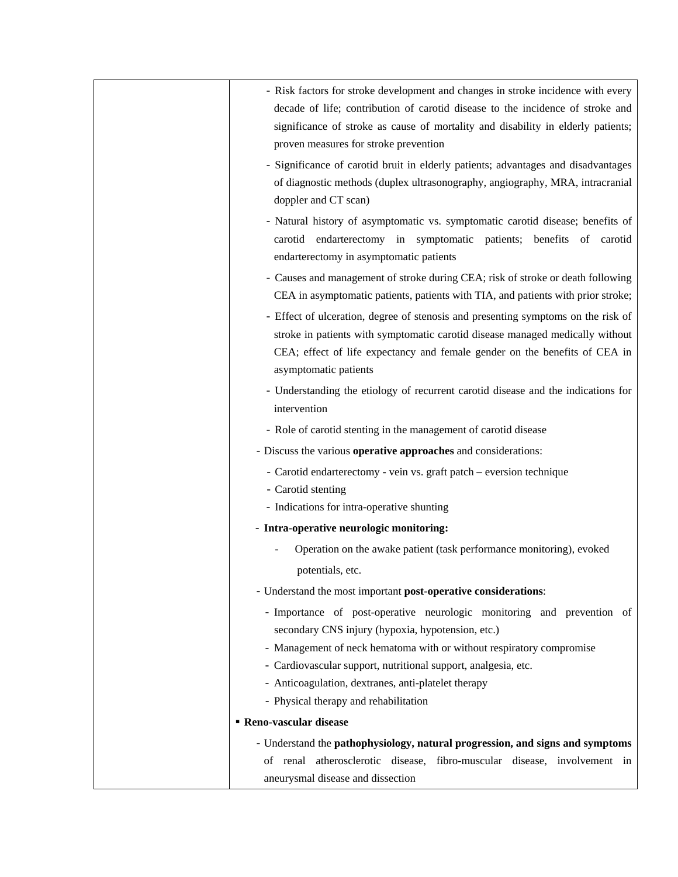| - Risk factors for stroke development and changes in stroke incidence with every  |  |
|-----------------------------------------------------------------------------------|--|
| decade of life; contribution of carotid disease to the incidence of stroke and    |  |
| significance of stroke as cause of mortality and disability in elderly patients;  |  |
| proven measures for stroke prevention                                             |  |
| - Significance of carotid bruit in elderly patients; advantages and disadvantages |  |
| of diagnostic methods (duplex ultrasonography, angiography, MRA, intracranial     |  |
| doppler and CT scan)                                                              |  |
| - Natural history of asymptomatic vs. symptomatic carotid disease; benefits of    |  |
| carotid endarterectomy in symptomatic patients; benefits of carotid               |  |
| endarterectomy in asymptomatic patients                                           |  |
| - Causes and management of stroke during CEA; risk of stroke or death following   |  |
| CEA in asymptomatic patients, patients with TIA, and patients with prior stroke;  |  |
| - Effect of ulceration, degree of stenosis and presenting symptoms on the risk of |  |
| stroke in patients with symptomatic carotid disease managed medically without     |  |
| CEA; effect of life expectancy and female gender on the benefits of CEA in        |  |
| asymptomatic patients                                                             |  |
| - Understanding the etiology of recurrent carotid disease and the indications for |  |
| intervention                                                                      |  |
| - Role of carotid stenting in the management of carotid disease                   |  |
| - Discuss the various operative approaches and considerations:                    |  |
| - Carotid endarterectomy - vein vs. graft patch - eversion technique              |  |
| - Carotid stenting                                                                |  |
| - Indications for intra-operative shunting                                        |  |
| - Intra-operative neurologic monitoring:                                          |  |
| Operation on the awake patient (task performance monitoring), evoked              |  |
| potentials, etc.                                                                  |  |
| - Understand the most important post-operative considerations:                    |  |
| - Importance of post-operative neurologic monitoring and prevention of            |  |
| secondary CNS injury (hypoxia, hypotension, etc.)                                 |  |
| - Management of neck hematoma with or without respiratory compromise              |  |
| - Cardiovascular support, nutritional support, analgesia, etc.                    |  |
| - Anticoagulation, dextranes, anti-platelet therapy                               |  |
| - Physical therapy and rehabilitation                                             |  |
| <b>Reno-vascular disease</b>                                                      |  |
| - Understand the pathophysiology, natural progression, and signs and symptoms     |  |
| of renal atherosclerotic disease, fibro-muscular disease, involvement in          |  |
| aneurysmal disease and dissection                                                 |  |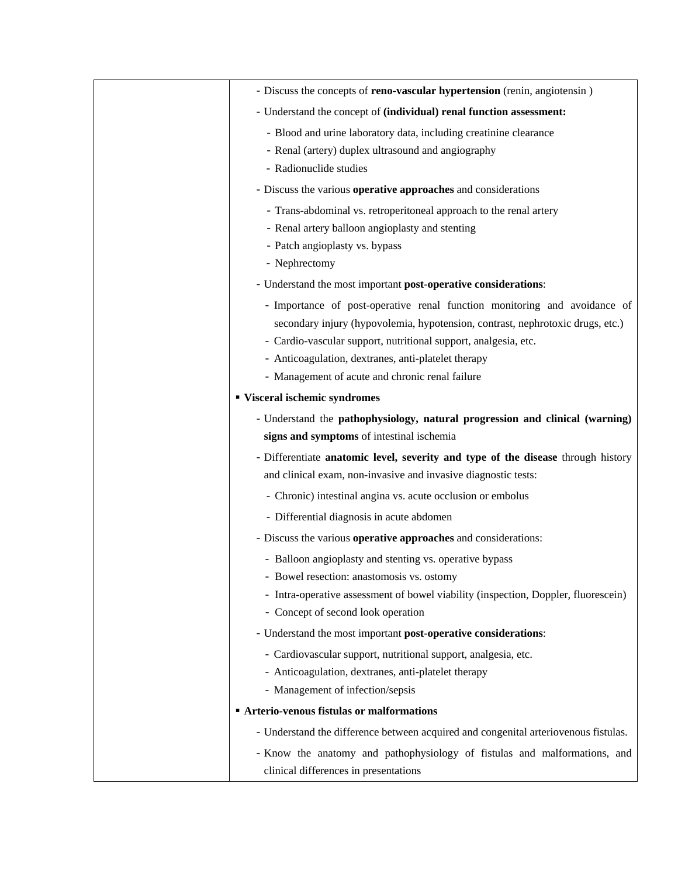| - Discuss the concepts of <b>reno-vascular hypertension</b> (renin, angiotensin)                                   |
|--------------------------------------------------------------------------------------------------------------------|
| - Understand the concept of (individual) renal function assessment:                                                |
| - Blood and urine laboratory data, including creatinine clearance                                                  |
| - Renal (artery) duplex ultrasound and angiography                                                                 |
| - Radionuclide studies                                                                                             |
| - Discuss the various operative approaches and considerations                                                      |
| - Trans-abdominal vs. retroperitoneal approach to the renal artery                                                 |
| - Renal artery balloon angioplasty and stenting                                                                    |
| - Patch angioplasty vs. bypass                                                                                     |
| - Nephrectomy                                                                                                      |
| - Understand the most important post-operative considerations:                                                     |
| - Importance of post-operative renal function monitoring and avoidance of                                          |
| secondary injury (hypovolemia, hypotension, contrast, nephrotoxic drugs, etc.)                                     |
| - Cardio-vascular support, nutritional support, analgesia, etc.                                                    |
| - Anticoagulation, dextranes, anti-platelet therapy                                                                |
| - Management of acute and chronic renal failure                                                                    |
| " Visceral ischemic syndromes                                                                                      |
| - Understand the pathophysiology, natural progression and clinical (warning)                                       |
| signs and symptoms of intestinal ischemia                                                                          |
| - Differentiate anatomic level, severity and type of the disease through history                                   |
| and clinical exam, non-invasive and invasive diagnostic tests:                                                     |
| - Chronic) intestinal angina vs. acute occlusion or embolus                                                        |
| - Differential diagnosis in acute abdomen                                                                          |
| - Discuss the various operative approaches and considerations:                                                     |
| - Balloon angioplasty and stenting vs. operative bypass                                                            |
| Bowel resection: anastomosis vs. ostomy                                                                            |
| - Intra-operative assessment of bowel viability (inspection, Doppler, fluorescein)                                 |
| - Concept of second look operation                                                                                 |
| - Understand the most important post-operative considerations:                                                     |
| - Cardiovascular support, nutritional support, analgesia, etc.                                                     |
| - Anticoagulation, dextranes, anti-platelet therapy                                                                |
| - Management of infection/sepsis                                                                                   |
| <b>Arterio-venous fistulas or malformations</b>                                                                    |
| - Understand the difference between acquired and congenital arteriovenous fistulas.                                |
| - Know the anatomy and pathophysiology of fistulas and malformations, and<br>clinical differences in presentations |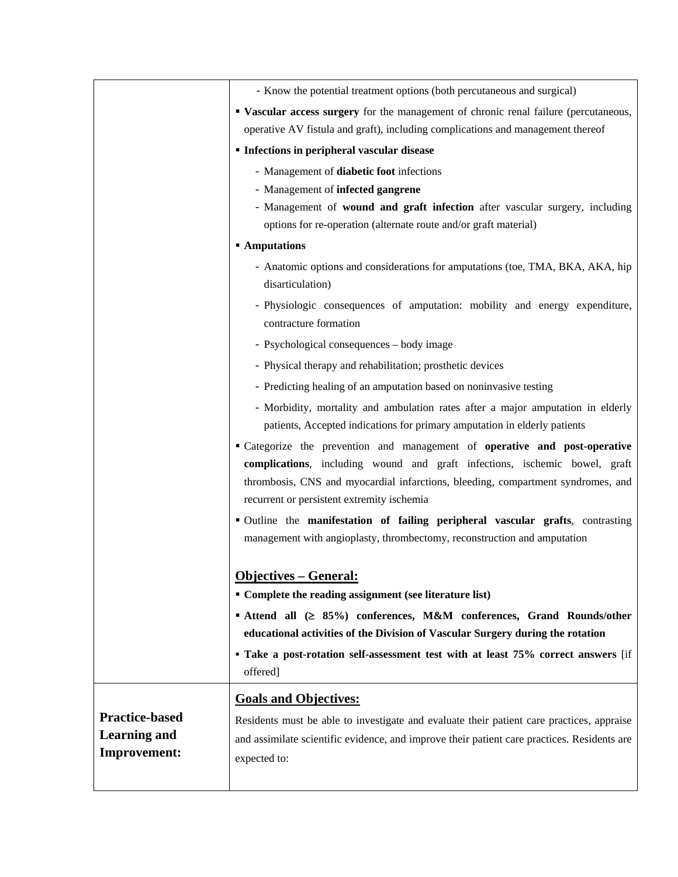|                       | - Know the potential treatment options (both percutaneous and surgical)                                                                                                                                                                                                                   |
|-----------------------|-------------------------------------------------------------------------------------------------------------------------------------------------------------------------------------------------------------------------------------------------------------------------------------------|
|                       | " Vascular access surgery for the management of chronic renal failure (percutaneous,                                                                                                                                                                                                      |
|                       | operative AV fistula and graft), including complications and management thereof                                                                                                                                                                                                           |
|                       | <b>Infections in peripheral vascular disease</b>                                                                                                                                                                                                                                          |
|                       | - Management of diabetic foot infections                                                                                                                                                                                                                                                  |
|                       | - Management of infected gangrene                                                                                                                                                                                                                                                         |
|                       | - Management of wound and graft infection after vascular surgery, including                                                                                                                                                                                                               |
|                       | options for re-operation (alternate route and/or graft material)                                                                                                                                                                                                                          |
|                       | <b>Amputations</b>                                                                                                                                                                                                                                                                        |
|                       | - Anatomic options and considerations for amputations (toe, TMA, BKA, AKA, hip                                                                                                                                                                                                            |
|                       | disarticulation)                                                                                                                                                                                                                                                                          |
|                       | - Physiologic consequences of amputation: mobility and energy expenditure,<br>contracture formation                                                                                                                                                                                       |
|                       | - Psychological consequences - body image                                                                                                                                                                                                                                                 |
|                       | - Physical therapy and rehabilitation; prosthetic devices                                                                                                                                                                                                                                 |
|                       | - Predicting healing of an amputation based on noninvasive testing                                                                                                                                                                                                                        |
|                       | - Morbidity, mortality and ambulation rates after a major amputation in elderly<br>patients, Accepted indications for primary amputation in elderly patients                                                                                                                              |
|                       | "Categorize the prevention and management of operative and post-operative<br>complications, including wound and graft infections, ischemic bowel, graft<br>thrombosis, CNS and myocardial infarctions, bleeding, compartment syndromes, and<br>recurrent or persistent extremity ischemia |
|                       | " Outline the manifestation of failing peripheral vascular grafts, contrasting<br>management with angioplasty, thrombectomy, reconstruction and amputation                                                                                                                                |
|                       | <b>Objectives - General:</b>                                                                                                                                                                                                                                                              |
|                       | • Complete the reading assignment (see literature list)                                                                                                                                                                                                                                   |
|                       | ■ Attend all (≥ 85%) conferences, M&M conferences, Grand Rounds/other                                                                                                                                                                                                                     |
|                       | educational activities of the Division of Vascular Surgery during the rotation                                                                                                                                                                                                            |
|                       | • Take a post-rotation self-assessment test with at least 75% correct answers [if<br>offered]                                                                                                                                                                                             |
|                       | <b>Goals and Objectives:</b>                                                                                                                                                                                                                                                              |
| <b>Practice-based</b> | Residents must be able to investigate and evaluate their patient care practices, appraise                                                                                                                                                                                                 |
| <b>Learning and</b>   | and assimilate scientific evidence, and improve their patient care practices. Residents are                                                                                                                                                                                               |
| <b>Improvement:</b>   | expected to:                                                                                                                                                                                                                                                                              |
|                       |                                                                                                                                                                                                                                                                                           |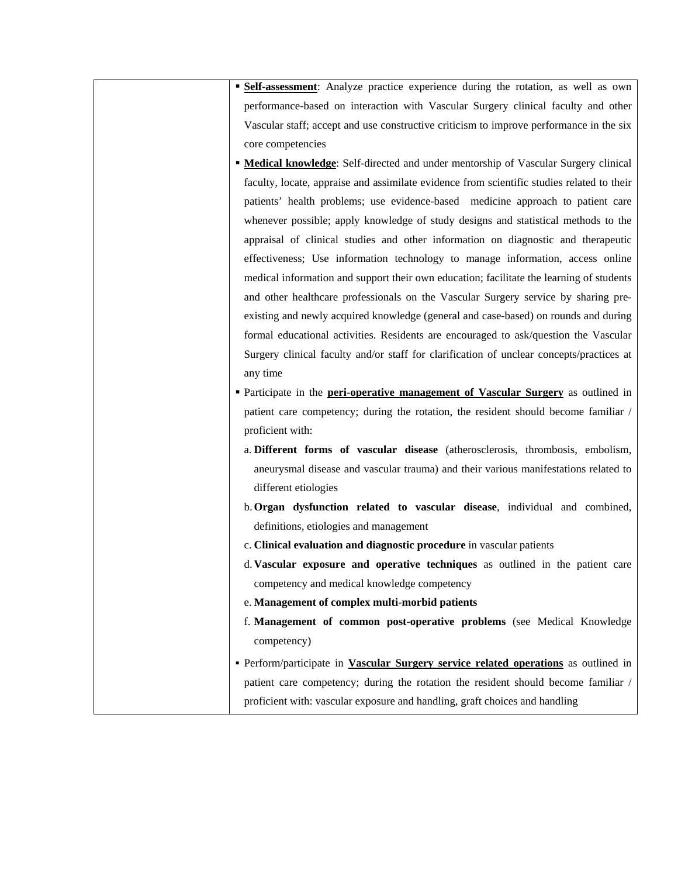**Self-assessment**: Analyze practice experience during the rotation, as well as own performance-based on interaction with Vascular Surgery clinical faculty and other Vascular staff; accept and use constructive criticism to improve performance in the six core competencies

- **Medical knowledge**: Self-directed and under mentorship of Vascular Surgery clinical faculty, locate, appraise and assimilate evidence from scientific studies related to their patients' health problems; use evidence-based medicine approach to patient care whenever possible; apply knowledge of study designs and statistical methods to the appraisal of clinical studies and other information on diagnostic and therapeutic effectiveness; Use information technology to manage information, access online medical information and support their own education; facilitate the learning of students and other healthcare professionals on the Vascular Surgery service by sharing preexisting and newly acquired knowledge (general and case-based) on rounds and during formal educational activities. Residents are encouraged to ask/question the Vascular Surgery clinical faculty and/or staff for clarification of unclear concepts/practices at any time
- Participate in the **peri-operative management of Vascular Surgery** as outlined in patient care competency; during the rotation, the resident should become familiar / proficient with:
	- a. **Different forms of vascular disease** (atherosclerosis, thrombosis, embolism, aneurysmal disease and vascular trauma) and their various manifestations related to different etiologies
	- b.**Organ dysfunction related to vascular disease**, individual and combined, definitions, etiologies and management
	- c. **Clinical evaluation and diagnostic procedure** in vascular patients
	- d. **Vascular exposure and operative techniques** as outlined in the patient care competency and medical knowledge competency
	- e. **Management of complex multi-morbid patients**
	- f. **Management of common post-operative problems** (see Medical Knowledge competency)
- Perform/participate in **Vascular Surgery service related operations** as outlined in patient care competency; during the rotation the resident should become familiar / proficient with: vascular exposure and handling, graft choices and handling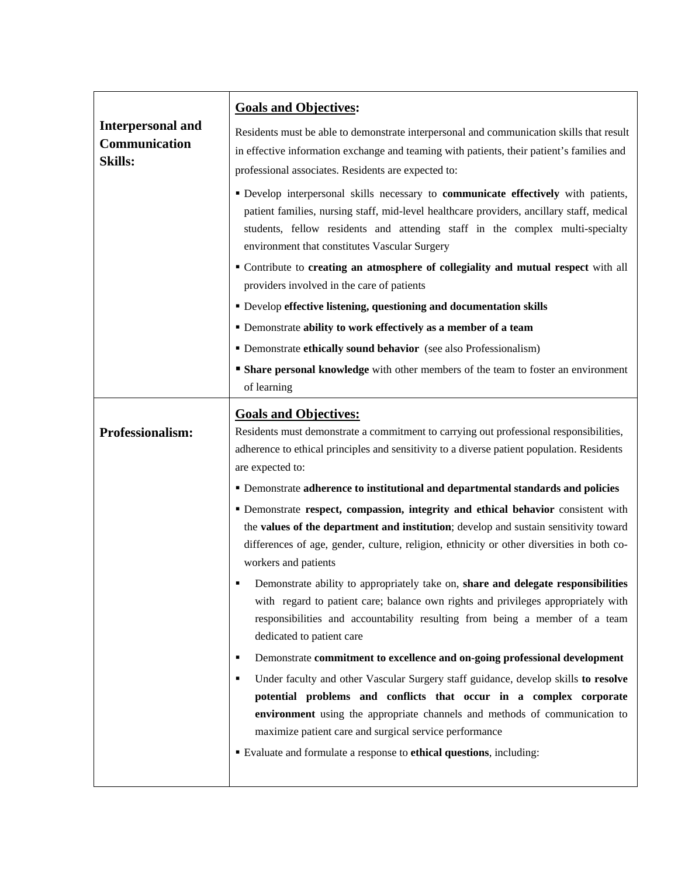| <b>Interpersonal and</b><br>Communication<br><b>Skills:</b> | <b>Goals and Objectives:</b><br>Residents must be able to demonstrate interpersonal and communication skills that result<br>in effective information exchange and teaming with patients, their patient's families and<br>professional associates. Residents are expected to:<br>" Develop interpersonal skills necessary to communicate effectively with patients,<br>patient families, nursing staff, mid-level healthcare providers, ancillary staff, medical<br>students, fellow residents and attending staff in the complex multi-specialty<br>environment that constitutes Vascular Surgery<br>" Contribute to creating an atmosphere of collegiality and mutual respect with all<br>providers involved in the care of patients<br>• Develop effective listening, questioning and documentation skills<br>• Demonstrate ability to work effectively as a member of a team<br>• Demonstrate ethically sound behavior (see also Professionalism)<br><b>Share personal knowledge</b> with other members of the team to foster an environment |
|-------------------------------------------------------------|-------------------------------------------------------------------------------------------------------------------------------------------------------------------------------------------------------------------------------------------------------------------------------------------------------------------------------------------------------------------------------------------------------------------------------------------------------------------------------------------------------------------------------------------------------------------------------------------------------------------------------------------------------------------------------------------------------------------------------------------------------------------------------------------------------------------------------------------------------------------------------------------------------------------------------------------------------------------------------------------------------------------------------------------------|
|                                                             | of learning                                                                                                                                                                                                                                                                                                                                                                                                                                                                                                                                                                                                                                                                                                                                                                                                                                                                                                                                                                                                                                     |
| Professionalism:                                            | <b>Goals and Objectives:</b><br>Residents must demonstrate a commitment to carrying out professional responsibilities,<br>adherence to ethical principles and sensitivity to a diverse patient population. Residents<br>are expected to:                                                                                                                                                                                                                                                                                                                                                                                                                                                                                                                                                                                                                                                                                                                                                                                                        |
|                                                             | " Demonstrate adherence to institutional and departmental standards and policies                                                                                                                                                                                                                                                                                                                                                                                                                                                                                                                                                                                                                                                                                                                                                                                                                                                                                                                                                                |
|                                                             | " Demonstrate respect, compassion, integrity and ethical behavior consistent with<br>the values of the department and institution; develop and sustain sensitivity toward<br>differences of age, gender, culture, religion, ethnicity or other diversities in both co-<br>workers and patients                                                                                                                                                                                                                                                                                                                                                                                                                                                                                                                                                                                                                                                                                                                                                  |
|                                                             | Demonstrate ability to appropriately take on, share and delegate responsibilities<br>with regard to patient care; balance own rights and privileges appropriately with<br>responsibilities and accountability resulting from being a member of a team<br>dedicated to patient care                                                                                                                                                                                                                                                                                                                                                                                                                                                                                                                                                                                                                                                                                                                                                              |
|                                                             | Demonstrate commitment to excellence and on-going professional development<br>٠                                                                                                                                                                                                                                                                                                                                                                                                                                                                                                                                                                                                                                                                                                                                                                                                                                                                                                                                                                 |
|                                                             | Under faculty and other Vascular Surgery staff guidance, develop skills to resolve<br>٠<br>potential problems and conflicts that occur in a complex corporate<br>environment using the appropriate channels and methods of communication to<br>maximize patient care and surgical service performance<br>Evaluate and formulate a response to ethical questions, including:                                                                                                                                                                                                                                                                                                                                                                                                                                                                                                                                                                                                                                                                     |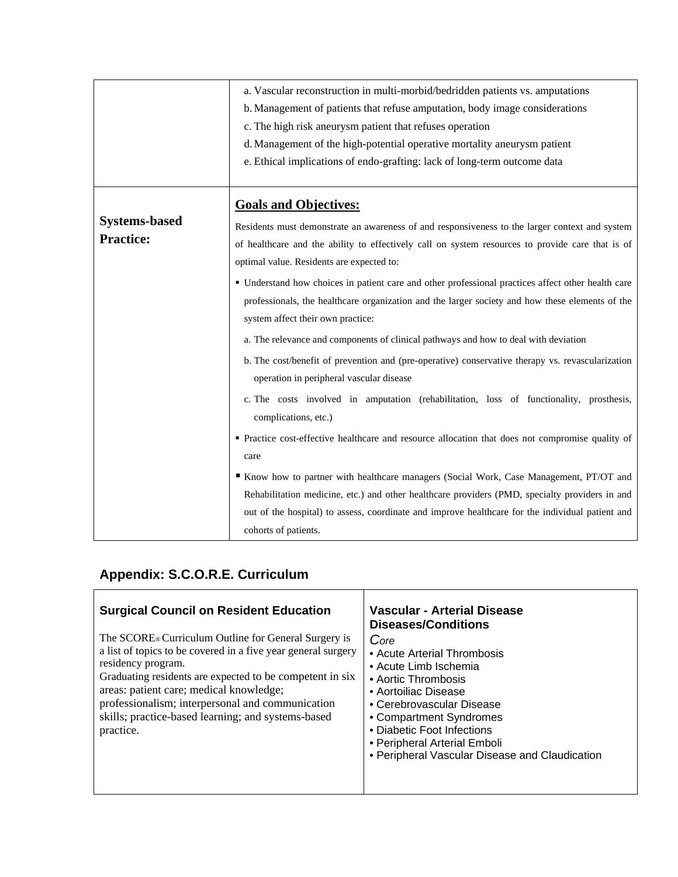| b. Management of patients that refuse amputation, body image considerations<br>c. The high risk aneurysm patient that refuses operation<br>d. Management of the high-potential operative mortality aneurysm patient<br>e. Ethical implications of endo-grafting: lack of long-term outcome data                                                                                                                                                                                                                                                                                                                                                                                                                                                                                                                                                                                                                                                                                                                                                                                                                                                                                                                                                                                                                                                                        |  |
|------------------------------------------------------------------------------------------------------------------------------------------------------------------------------------------------------------------------------------------------------------------------------------------------------------------------------------------------------------------------------------------------------------------------------------------------------------------------------------------------------------------------------------------------------------------------------------------------------------------------------------------------------------------------------------------------------------------------------------------------------------------------------------------------------------------------------------------------------------------------------------------------------------------------------------------------------------------------------------------------------------------------------------------------------------------------------------------------------------------------------------------------------------------------------------------------------------------------------------------------------------------------------------------------------------------------------------------------------------------------|--|
| <b>Goals and Objectives:</b><br><b>Systems-based</b><br>Residents must demonstrate an awareness of and responsiveness to the larger context and system<br><b>Practice:</b><br>of healthcare and the ability to effectively call on system resources to provide care that is of<br>optimal value. Residents are expected to:<br>· Understand how choices in patient care and other professional practices affect other health care<br>professionals, the healthcare organization and the larger society and how these elements of the<br>system affect their own practice:<br>a. The relevance and components of clinical pathways and how to deal with deviation<br>b. The cost/benefit of prevention and (pre-operative) conservative therapy vs. revascularization<br>operation in peripheral vascular disease<br>c. The costs involved in amputation (rehabilitation, loss of functionality, prosthesis,<br>complications, etc.)<br>• Practice cost-effective healthcare and resource allocation that does not compromise quality of<br>care<br>Know how to partner with healthcare managers (Social Work, Case Management, PT/OT and<br>Rehabilitation medicine, etc.) and other healthcare providers (PMD, specialty providers in and<br>out of the hospital) to assess, coordinate and improve healthcare for the individual patient and<br>cohorts of patients. |  |

# **Appendix: S.C.O.R.E. Curriculum**

| <b>Surgical Council on Resident Education</b><br>The SCORE <sup>®</sup> Curriculum Outline for General Surgery is<br>a list of topics to be covered in a five year general surgery<br>residency program.<br>Graduating residents are expected to be competent in six<br>areas: patient care; medical knowledge;<br>professionalism; interpersonal and communication<br>skills; practice-based learning; and systems-based<br>practice. | <b>Vascular - Arterial Disease</b><br><b>Diseases/Conditions</b><br>Core<br>• Acute Arterial Thrombosis<br>• Acute Limb Ischemia<br>• Aortic Thrombosis<br>• Aortoiliac Disease<br>• Cerebrovascular Disease<br>• Compartment Syndromes<br>• Diabetic Foot Infections |
|----------------------------------------------------------------------------------------------------------------------------------------------------------------------------------------------------------------------------------------------------------------------------------------------------------------------------------------------------------------------------------------------------------------------------------------|-----------------------------------------------------------------------------------------------------------------------------------------------------------------------------------------------------------------------------------------------------------------------|
|                                                                                                                                                                                                                                                                                                                                                                                                                                        | • Peripheral Arterial Emboli<br>• Peripheral Vascular Disease and Claudication                                                                                                                                                                                        |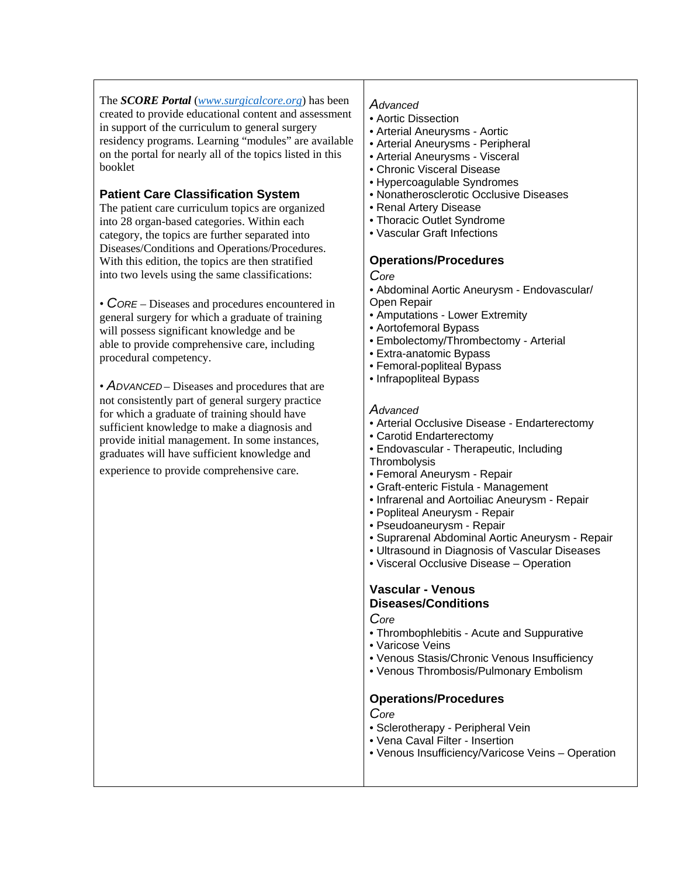The *SCORE Portal* (*www.surgicalcore.org*) has been created to provide educational content and assessment in support of the curriculum to general surgery residency programs. Learning "modules" are available on the portal for nearly all of the topics listed in this booklet

## **Patient Care Classification System**

The patient care curriculum topics are organized into 28 organ-based categories. Within each category, the topics are further separated into Diseases/Conditions and Operations/Procedures. With this edition, the topics are then stratified into two levels using the same classifications:

• *CORE* – Diseases and procedures encountered in general surgery for which a graduate of training will possess significant knowledge and be able to provide comprehensive care, including procedural competency.

• *ADVANCED* – Diseases and procedures that are not consistently part of general surgery practice for which a graduate of training should have sufficient knowledge to make a diagnosis and provide initial management. In some instances, graduates will have sufficient knowledge and

experience to provide comprehensive care.

## *Advanced*

- Aortic Dissection
- Arterial Aneurysms Aortic
- Arterial Aneurysms Peripheral
- Arterial Aneurysms Visceral
- Chronic Visceral Disease
- Hypercoagulable Syndromes
- Nonatherosclerotic Occlusive Diseases
- Renal Artery Disease
- Thoracic Outlet Syndrome
- Vascular Graft Infections

## **Operations/Procedures**

*Core* 

• Abdominal Aortic Aneurysm - Endovascular/ Open Repair

- Amputations Lower Extremity
- Aortofemoral Bypass
- Embolectomy/Thrombectomy Arterial
- Extra-anatomic Bypass
- Femoral-popliteal Bypass
- Infrapopliteal Bypass

#### *Advanced*

- Arterial Occlusive Disease Endarterectomy
- Carotid Endarterectomy
- Endovascular Therapeutic, Including **Thrombolysis**
- Femoral Aneurysm Repair
- Graft-enteric Fistula Management
- Infrarenal and Aortoiliac Aneurysm Repair
- Popliteal Aneurysm Repair
- Pseudoaneurysm Repair
- Suprarenal Abdominal Aortic Aneurysm Repair
- Ultrasound in Diagnosis of Vascular Diseases
- Visceral Occlusive Disease Operation

## **Vascular - Venous Diseases/Conditions**

*Core* 

- Thrombophlebitis Acute and Suppurative
- Varicose Veins
- Venous Stasis/Chronic Venous Insufficiency
- Venous Thrombosis/Pulmonary Embolism

#### **Operations/Procedures**

*Core* 

- Sclerotherapy Peripheral Vein
- Vena Caval Filter Insertion
- Venous Insufficiency/Varicose Veins Operation